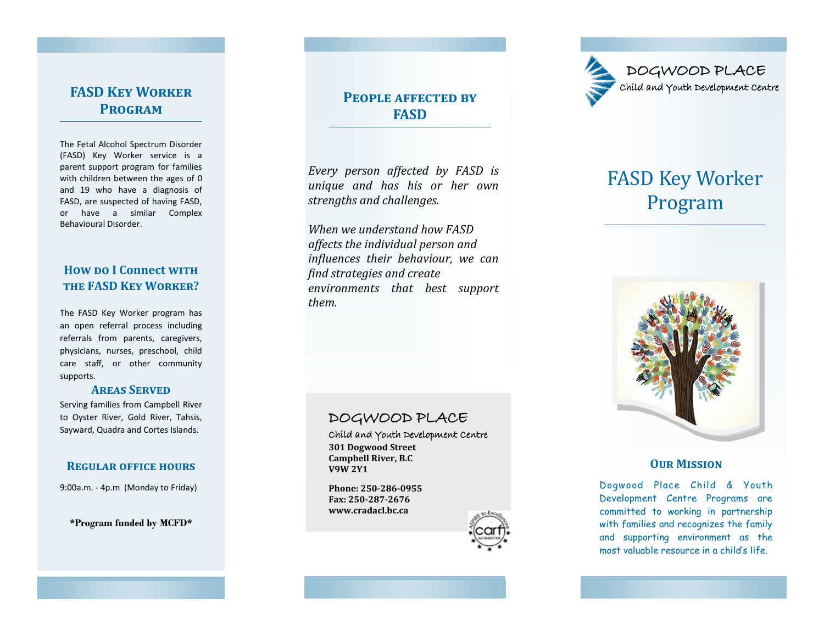# **FASD Key Worker Program**

The Fetal Alcohol Spectrum Disorder (FASD) Key Worker service is a parent support program for families with children between the ages of 0 and 19 who have a diagnosis of FASD, are suspected of having FASD, or have a similar Complex Behavioural Disorder.

## **How po I Connect WITH the FASD Key Worker?**

The FASD Key Worker program has an open referral process including referrals from parents, caregivers, physicians, nurses, preschool, child care staff, or other community supports.

#### **Areas Served**

Serving families from Campbell River to Oyster River, Gold River, Tahsis, Sayward, Quadra and Cortes Islands.

#### **Regular office hours**

9:00a.m. - 4p.m (Monday to Friday)

**\*Program funded by MCFD\***

# **People affected by FASD**

*Every person affected by FASD is unique and has his or her own strengths and challenges.* 

*When we understand how FASD affects the individual person and influences their behaviour, we can find strategies and create environments that best support them.* 

## DOGWOOD PLACE

Child and Youth Development Centre **301 Dogwood Street Campbell River, B.C V9W 2Y1** 

**Phone: 250-286-0955 Fax: 250-287-2676 www.cradacl.bc.ca**





# FASD Key Worker Program



## **Our Mission**

Dogwood Place Child & Youth Development Centre Programs are committed to working in partnership with families and recognizes the family and supporting environment as the most valuable resource in a child's life.